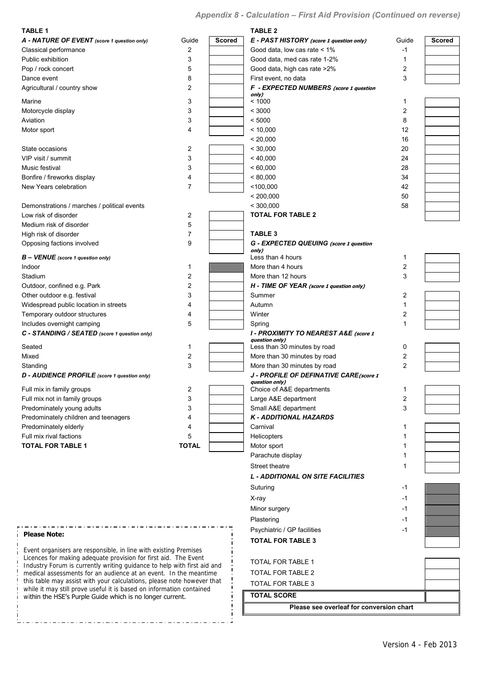## *Appendix 8 - Calculation – First Aid Provision (Continued on reverse)*

| <b>TABLE 1</b>                                                                                                                                                                                                                                                                                                                                                                                                                                                                                                                                                                                                                                                                    |                         |               | <b>TABLE 2</b>                                 |       |               |  |
|-----------------------------------------------------------------------------------------------------------------------------------------------------------------------------------------------------------------------------------------------------------------------------------------------------------------------------------------------------------------------------------------------------------------------------------------------------------------------------------------------------------------------------------------------------------------------------------------------------------------------------------------------------------------------------------|-------------------------|---------------|------------------------------------------------|-------|---------------|--|
| A - NATURE OF EVENT (score 1 question only)                                                                                                                                                                                                                                                                                                                                                                                                                                                                                                                                                                                                                                       | Guide                   | <b>Scored</b> | E - PAST HISTORY (score 1 question only)       | Guide | <b>Scored</b> |  |
| Classical performance                                                                                                                                                                                                                                                                                                                                                                                                                                                                                                                                                                                                                                                             | 2                       |               | Good data, low cas rate < 1%                   | -1    |               |  |
| Public exhibition                                                                                                                                                                                                                                                                                                                                                                                                                                                                                                                                                                                                                                                                 | 3                       |               | Good data, med cas rate 1-2%                   | 1     |               |  |
| Pop / rock concert                                                                                                                                                                                                                                                                                                                                                                                                                                                                                                                                                                                                                                                                | 5                       |               | Good data, high cas rate >2%                   | 2     |               |  |
| Dance event                                                                                                                                                                                                                                                                                                                                                                                                                                                                                                                                                                                                                                                                       | 8                       |               | First event, no data                           | 3     |               |  |
| Agricultural / country show                                                                                                                                                                                                                                                                                                                                                                                                                                                                                                                                                                                                                                                       | 2                       |               | F - EXPECTED NUMBERS (score 1 question         |       |               |  |
| Marine                                                                                                                                                                                                                                                                                                                                                                                                                                                                                                                                                                                                                                                                            | 3                       |               | only)<br>< 1000                                | 1     |               |  |
| Motorcycle display                                                                                                                                                                                                                                                                                                                                                                                                                                                                                                                                                                                                                                                                | 3                       |               | < 3000                                         | 2     |               |  |
| Aviation                                                                                                                                                                                                                                                                                                                                                                                                                                                                                                                                                                                                                                                                          | 3                       |               | < 5000                                         | 8     |               |  |
| Motor sport                                                                                                                                                                                                                                                                                                                                                                                                                                                                                                                                                                                                                                                                       | 4                       |               | < 10,000                                       | 12    |               |  |
|                                                                                                                                                                                                                                                                                                                                                                                                                                                                                                                                                                                                                                                                                   |                         |               | < 20,000                                       | 16    |               |  |
| State occasions                                                                                                                                                                                                                                                                                                                                                                                                                                                                                                                                                                                                                                                                   | 2                       |               | < 30,000                                       | 20    |               |  |
| VIP visit / summit                                                                                                                                                                                                                                                                                                                                                                                                                                                                                                                                                                                                                                                                | 3                       |               | < 40,000                                       | 24    |               |  |
| Music festival                                                                                                                                                                                                                                                                                                                                                                                                                                                                                                                                                                                                                                                                    | 3                       |               | < 60,000                                       | 28    |               |  |
| Bonfire / fireworks display                                                                                                                                                                                                                                                                                                                                                                                                                                                                                                                                                                                                                                                       | 4                       |               | < 80,000                                       | 34    |               |  |
| New Years celebration                                                                                                                                                                                                                                                                                                                                                                                                                                                                                                                                                                                                                                                             | 7                       |               | < 100,000                                      | 42    |               |  |
|                                                                                                                                                                                                                                                                                                                                                                                                                                                                                                                                                                                                                                                                                   |                         |               | < 200,000                                      | 50    |               |  |
| Demonstrations / marches / political events                                                                                                                                                                                                                                                                                                                                                                                                                                                                                                                                                                                                                                       |                         |               | < 300.000                                      | 58    |               |  |
| Low risk of disorder                                                                                                                                                                                                                                                                                                                                                                                                                                                                                                                                                                                                                                                              | 2                       |               | <b>TOTAL FOR TABLE 2</b>                       |       |               |  |
| Medium risk of disorder                                                                                                                                                                                                                                                                                                                                                                                                                                                                                                                                                                                                                                                           | 5                       |               |                                                |       |               |  |
| High risk of disorder                                                                                                                                                                                                                                                                                                                                                                                                                                                                                                                                                                                                                                                             | 7                       |               | <b>TABLE 3</b>                                 |       |               |  |
| Opposing factions involved                                                                                                                                                                                                                                                                                                                                                                                                                                                                                                                                                                                                                                                        | 9                       |               | G - EXPECTED QUEUING (score 1 question         |       |               |  |
| $B - VENUE$ (score 1 question only)                                                                                                                                                                                                                                                                                                                                                                                                                                                                                                                                                                                                                                               |                         |               | only)<br>Less than 4 hours                     | 1     |               |  |
| Indoor                                                                                                                                                                                                                                                                                                                                                                                                                                                                                                                                                                                                                                                                            | 1                       |               | More than 4 hours                              | 2     |               |  |
| Stadium                                                                                                                                                                                                                                                                                                                                                                                                                                                                                                                                                                                                                                                                           | 2                       |               | More than 12 hours                             | 3     |               |  |
| Outdoor, confined e.g. Park                                                                                                                                                                                                                                                                                                                                                                                                                                                                                                                                                                                                                                                       | $\overline{2}$          |               | H - TIME OF YEAR (score 1 question only)       |       |               |  |
| Other outdoor e.g. festival                                                                                                                                                                                                                                                                                                                                                                                                                                                                                                                                                                                                                                                       | 3                       |               | Summer                                         | 2     |               |  |
| Widespread public location in streets                                                                                                                                                                                                                                                                                                                                                                                                                                                                                                                                                                                                                                             | 4                       |               | Autumn                                         | 1     |               |  |
| Temporary outdoor structures                                                                                                                                                                                                                                                                                                                                                                                                                                                                                                                                                                                                                                                      | 4                       |               | Winter                                         | 2     |               |  |
| Includes overnight camping                                                                                                                                                                                                                                                                                                                                                                                                                                                                                                                                                                                                                                                        | 5                       |               | Spring                                         | 1     |               |  |
| C - STANDING / SEATED (score 1 question only)                                                                                                                                                                                                                                                                                                                                                                                                                                                                                                                                                                                                                                     |                         |               | I - PROXIMITY TO NEAREST A&E (score 1          |       |               |  |
| Seated                                                                                                                                                                                                                                                                                                                                                                                                                                                                                                                                                                                                                                                                            | 1                       |               | question only)<br>Less than 30 minutes by road | 0     |               |  |
| Mixed                                                                                                                                                                                                                                                                                                                                                                                                                                                                                                                                                                                                                                                                             | 2                       |               | More than 30 minutes by road                   | 2     |               |  |
| Standing                                                                                                                                                                                                                                                                                                                                                                                                                                                                                                                                                                                                                                                                          | 3                       |               | More than 30 minutes by road                   | 2     |               |  |
| D - AUDIENCE PROFILE (score 1 question only)                                                                                                                                                                                                                                                                                                                                                                                                                                                                                                                                                                                                                                      |                         |               | J - PROFILE OF DEFINATIVE CARE (score 1        |       |               |  |
| Full mix in family groups                                                                                                                                                                                                                                                                                                                                                                                                                                                                                                                                                                                                                                                         | $\overline{\mathbf{c}}$ |               | question only)<br>Choice of A&E departments    | 1     |               |  |
| Full mix not in family groups                                                                                                                                                                                                                                                                                                                                                                                                                                                                                                                                                                                                                                                     | 3                       |               | Large A&E department                           | 2     |               |  |
|                                                                                                                                                                                                                                                                                                                                                                                                                                                                                                                                                                                                                                                                                   |                         |               | Small A&E department                           | 3     |               |  |
|                                                                                                                                                                                                                                                                                                                                                                                                                                                                                                                                                                                                                                                                                   | 4                       |               | <b>K-ADDITIONAL HAZARDS</b>                    |       |               |  |
|                                                                                                                                                                                                                                                                                                                                                                                                                                                                                                                                                                                                                                                                                   | 4                       |               | Carnival                                       | 1     |               |  |
|                                                                                                                                                                                                                                                                                                                                                                                                                                                                                                                                                                                                                                                                                   |                         |               | <b>Helicopters</b>                             |       |               |  |
|                                                                                                                                                                                                                                                                                                                                                                                                                                                                                                                                                                                                                                                                                   |                         |               | Motor sport                                    |       |               |  |
|                                                                                                                                                                                                                                                                                                                                                                                                                                                                                                                                                                                                                                                                                   |                         |               | Parachute display                              |       |               |  |
|                                                                                                                                                                                                                                                                                                                                                                                                                                                                                                                                                                                                                                                                                   |                         |               | Street theatre                                 |       |               |  |
|                                                                                                                                                                                                                                                                                                                                                                                                                                                                                                                                                                                                                                                                                   |                         |               | <b>L - ADDITIONAL ON SITE FACILITIES</b>       |       |               |  |
|                                                                                                                                                                                                                                                                                                                                                                                                                                                                                                                                                                                                                                                                                   |                         |               | Suturing                                       | $-1$  |               |  |
|                                                                                                                                                                                                                                                                                                                                                                                                                                                                                                                                                                                                                                                                                   |                         |               |                                                |       |               |  |
|                                                                                                                                                                                                                                                                                                                                                                                                                                                                                                                                                                                                                                                                                   |                         |               | X-ray                                          | -1    |               |  |
|                                                                                                                                                                                                                                                                                                                                                                                                                                                                                                                                                                                                                                                                                   |                         |               | Minor surgery                                  | $-1$  |               |  |
|                                                                                                                                                                                                                                                                                                                                                                                                                                                                                                                                                                                                                                                                                   |                         |               | Plastering                                     | -1    |               |  |
| <b>Please Note:</b>                                                                                                                                                                                                                                                                                                                                                                                                                                                                                                                                                                                                                                                               |                         |               | Psychiatric / GP facilities                    | $-1$  |               |  |
|                                                                                                                                                                                                                                                                                                                                                                                                                                                                                                                                                                                                                                                                                   |                         |               | <b>TOTAL FOR TABLE 3</b>                       |       |               |  |
|                                                                                                                                                                                                                                                                                                                                                                                                                                                                                                                                                                                                                                                                                   |                         |               |                                                |       |               |  |
|                                                                                                                                                                                                                                                                                                                                                                                                                                                                                                                                                                                                                                                                                   |                         |               | TOTAL FOR TABLE 1                              |       |               |  |
| Predominately young adults<br>3<br>Predominately children and teenagers<br>Predominately elderly<br>Full mix rival factions<br>5<br><b>TOTAL</b><br><b>TOTAL FOR TABLE 1</b><br>Event organisers are responsible, in line with existing Premises<br>Licences for making adequate provision for first aid. The Event<br>Industry Forum is currently writing guidance to help with first aid and<br>medical assessments for an audience at an event. In the meantime<br>this table may assist with your calculations, please note however that<br>while it may still prove useful it is based on information contained<br>within the HSE's Purple Guide which is no longer current. |                         |               | TOTAL FOR TABLE 2                              |       |               |  |
|                                                                                                                                                                                                                                                                                                                                                                                                                                                                                                                                                                                                                                                                                   |                         |               | TOTAL FOR TABLE 3                              |       |               |  |
|                                                                                                                                                                                                                                                                                                                                                                                                                                                                                                                                                                                                                                                                                   |                         |               | <b>TOTAL SCORE</b>                             |       |               |  |
|                                                                                                                                                                                                                                                                                                                                                                                                                                                                                                                                                                                                                                                                                   |                         |               |                                                |       |               |  |

j ÷i

**Please see overleaf for conversion chart**